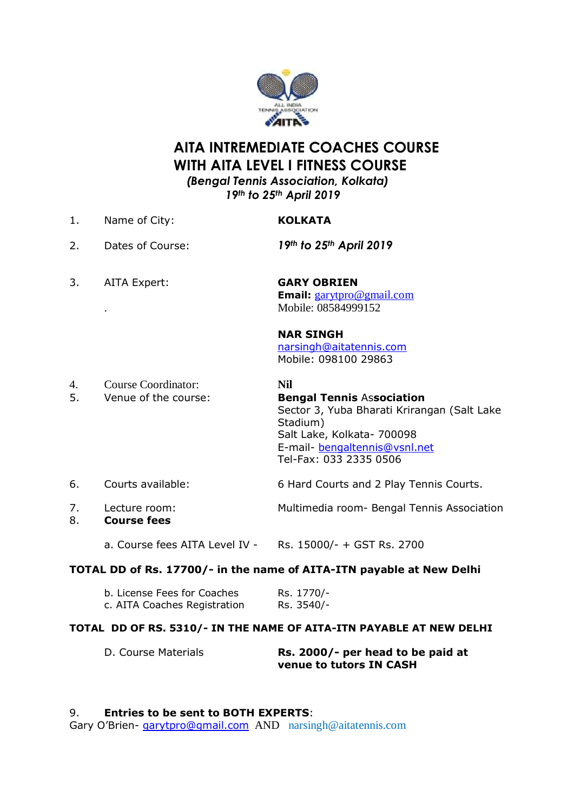

# **AITA INTREMEDIATE COACHES COURSE WITH AITA LEVEL I FITNESS COURSE**  *(Bengal Tennis Association, Kolkata)*

 *19th to 25th April 2019*

- 1. Name of City: **KOLKATA** 2. Dates of Course: *19th to 25th April 2019* 3. AITA Expert: **GARY OBRIEN Email:** [garytpro@gmail.com](mailto:garytpro@gmail.com) . Mobile: 08584999152 **NAR SINGH**  [narsingh@aitatennis.com](mailto:narsingh@aitatennis.com) Mobile: 098100 29863 4. Course Coordinator: **Nil**
- 5. Venue of the course: **Bengal Tennis** As**sociation** Sector 3, Yuba Bharati Krirangan (Salt Lake Stadium) Salt Lake, Kolkata- 700098 E-mail- [bengaltennis@vsnl.net](mailto:bengaltennis@vsnl.net) Tel-Fax: 033 2335 0506 6. Courts available: 6 Hard Courts and 2 Play Tennis Courts.
- 7. Lecture room: Multimedia room- Bengal Tennis Association
- 8. **Course fees**

a. Course fees AITA Level IV - Rs. 15000/- + GST Rs. 2700

### **TOTAL DD of Rs. 17700/- in the name of AITA-ITN payable at New Delhi**

| b. License Fees for Coaches  | Rs. 1770/- |
|------------------------------|------------|
| c. AITA Coaches Registration | Rs. 3540/- |

#### **TOTAL DD OF RS. 5310/- IN THE NAME OF AITA-ITN PAYABLE AT NEW DELHI**

| D. Course Materials | Rs. 2000/- per head to be paid at |
|---------------------|-----------------------------------|
|                     | venue to tutors IN CASH           |

#### 9. **Entries to be sent to BOTH EXPERTS**:

Gary O'Brien- [garytpro@gmail.com](mailto:garytpro@gmail.com) AND narsingh@aitatennis.com